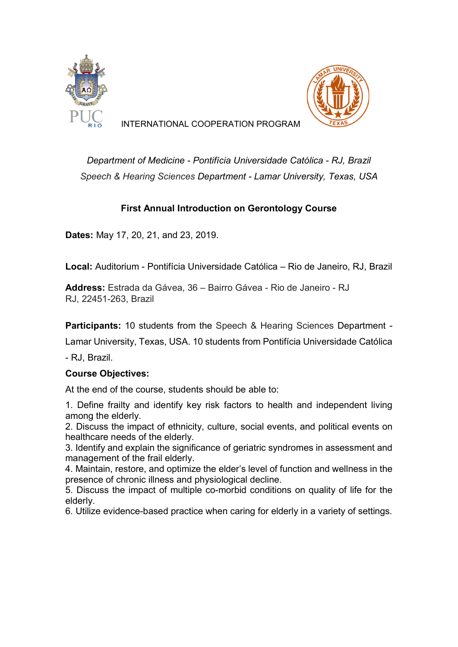



INTERNATIONAL COOPERATION PROGRAM

*Department of Medicine - Pontifícia Universidade Católica - RJ, Brazil Speech & Hearing Sciences Department - Lamar University, Texas, USA*

## **First Annual Introduction on Gerontology Course**

**Dates:** May 17, 20, 21, and 23, 2019.

**Local:** Auditorium - Pontifícia Universidade Católica – Rio de Janeiro, RJ, Brazil

**Address:** Estrada da Gávea, 36 – Bairro Gávea - Rio de Janeiro - RJ RJ, 22451-263, Brazil

**Participants:** 10 students from the Speech & Hearing Sciences Department -

Lamar University, Texas, USA. 10 students from Pontifícia Universidade Católica

- RJ, Brazil.

## **Course Objectives:**

At the end of the course, students should be able to:

1. Define frailty and identify key risk factors to health and independent living among the elderly.

2. Discuss the impact of ethnicity, culture, social events, and political events on healthcare needs of the elderly.

3. Identify and explain the significance of geriatric syndromes in assessment and management of the frail elderly.

4. Maintain, restore, and optimize the elder's level of function and wellness in the presence of chronic illness and physiological decline.

5. Discuss the impact of multiple co-morbid conditions on quality of life for the elderly.

6. Utilize evidence-based practice when caring for elderly in a variety of settings.